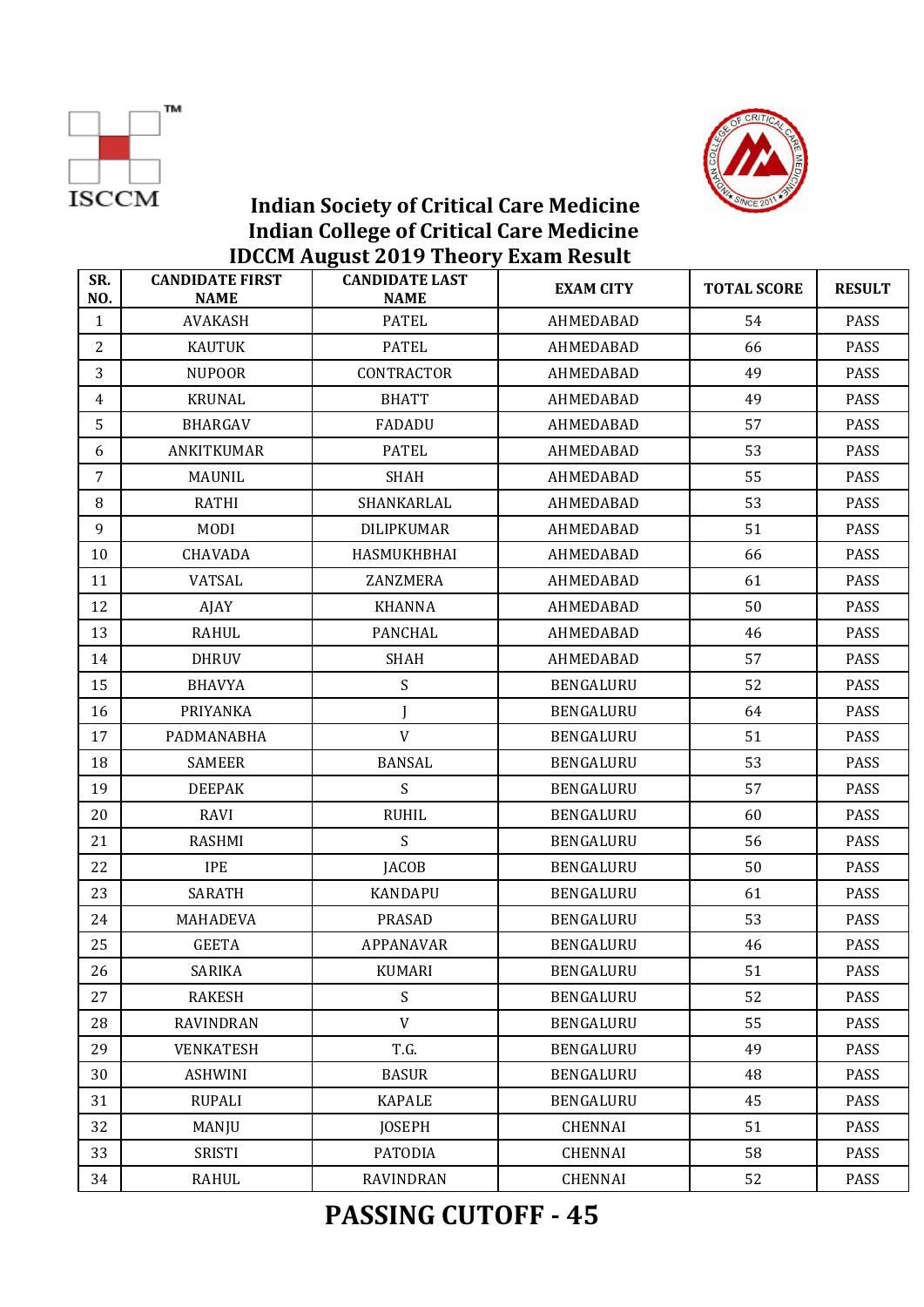



| SR.<br>NO.     | <b>CANDIDATE FIRST</b><br><b>NAME</b> | <b>CANDIDATE LAST</b><br><b>NAME</b> | <b>EXAM CITY</b> | <b>TOTAL SCORE</b> | <b>RESULT</b> |
|----------------|---------------------------------------|--------------------------------------|------------------|--------------------|---------------|
| $\mathbf{1}$   | <b>AVAKASH</b>                        | <b>PATEL</b>                         | AHMEDABAD        | 54                 | <b>PASS</b>   |
| $\overline{2}$ | KAUTUK                                | <b>PATEL</b>                         | AHMEDABAD        | 66                 | PASS          |
| 3              | <b>NUPOOR</b>                         | CONTRACTOR                           | AHMEDABAD        | 49                 | PASS          |
| $\overline{4}$ | <b>KRUNAL</b>                         | <b>BHATT</b>                         | AHMEDABAD        | 49                 | PASS          |
| 5              | BHARGAV                               | FADADU                               | AHMEDABAD        | 57                 | PASS          |
| 6              | ANKITKUMAR                            | <b>PATEL</b>                         | AHMEDABAD        | 53                 | <b>PASS</b>   |
| $\overline{7}$ | MAUNIL                                | SHAH                                 | AHMEDABAD        | 55                 | PASS          |
| 8              | <b>RATHI</b>                          | SHANKARLAL                           | AHMEDABAD        | 53                 | PASS          |
| 9              | <b>MODI</b>                           | <b>DILIPKUMAR</b>                    | AHMEDABAD        | 51                 | PASS          |
| 10             | CHAVADA                               | HASMUKHBHAI                          | AHMEDABAD        | 66                 | PASS          |
| 11             | <b>VATSAL</b>                         | ZANZMERA                             | AHMEDABAD        | 61                 | <b>PASS</b>   |
| 12             | AJAY                                  | KHANNA                               | AHMEDABAD        | 50                 | PASS          |
| 13             | <b>RAHUL</b>                          | PANCHAL                              | AHMEDABAD        | 46                 | <b>PASS</b>   |
| 14             | <b>DHRUV</b>                          | <b>SHAH</b>                          | AHMEDABAD        | 57                 | PASS          |
| 15             | <b>BHAVYA</b>                         | S                                    | BENGALURU        | 52                 | PASS          |
| 16             | PRIYANKA                              | J                                    | BENGALURU        | 64                 | <b>PASS</b>   |
| 17             | PADMANABHA                            | V                                    | BENGALURU        | 51                 | PASS          |
| 18             | <b>SAMEER</b>                         | <b>BANSAL</b>                        | BENGALURU        | 53                 | <b>PASS</b>   |
| 19             | <b>DEEPAK</b>                         | S                                    | BENGALURU        | 57                 | <b>PASS</b>   |
| 20             | RAVI                                  | <b>RUHIL</b>                         | BENGALURU        | 60                 | PASS          |
| 21             | RASHMI                                | S                                    | BENGALURU        | 56                 | PASS          |
| 22             | <b>IPE</b>                            | <b>JACOB</b>                         | BENGALURU        | 50                 | PASS          |
| 23             | <b>SARATH</b>                         | <b>KANDAPU</b>                       | BENGALURU        | 61                 | <b>PASS</b>   |
| 24             | MAHADEVA                              | <b>PRASAD</b>                        | BENGALURU        | 53                 | PASS          |
| 25             | <b>GEETA</b>                          | <b>APPANAVAR</b>                     | BENGALURU        | 46                 | PASS          |
| 26             | <b>SARIKA</b>                         | <b>KUMARI</b>                        | BENGALURU        | 51                 | PASS          |
| 27             | <b>RAKESH</b>                         | S                                    | BENGALURU        | 52                 | PASS          |
| 28             | RAVINDRAN                             | V                                    | BENGALURU        | 55                 | PASS          |
| 29             | VENKATESH                             | T.G.                                 | BENGALURU        | 49                 | PASS          |
| 30             | <b>ASHWINI</b>                        | <b>BASUR</b>                         | BENGALURU        | 48                 | PASS          |
| 31             | <b>RUPALI</b>                         | <b>KAPALE</b>                        | BENGALURU        | 45                 | PASS          |
| 32             | MANJU                                 | <b>JOSEPH</b>                        | CHENNAI          | 51                 | PASS          |
| 33             | SRISTI                                | PATODIA                              | CHENNAI          | 58                 | <b>PASS</b>   |
| 34             | RAHUL                                 | <b>RAVINDRAN</b>                     | CHENNAI          | 52                 | PASS          |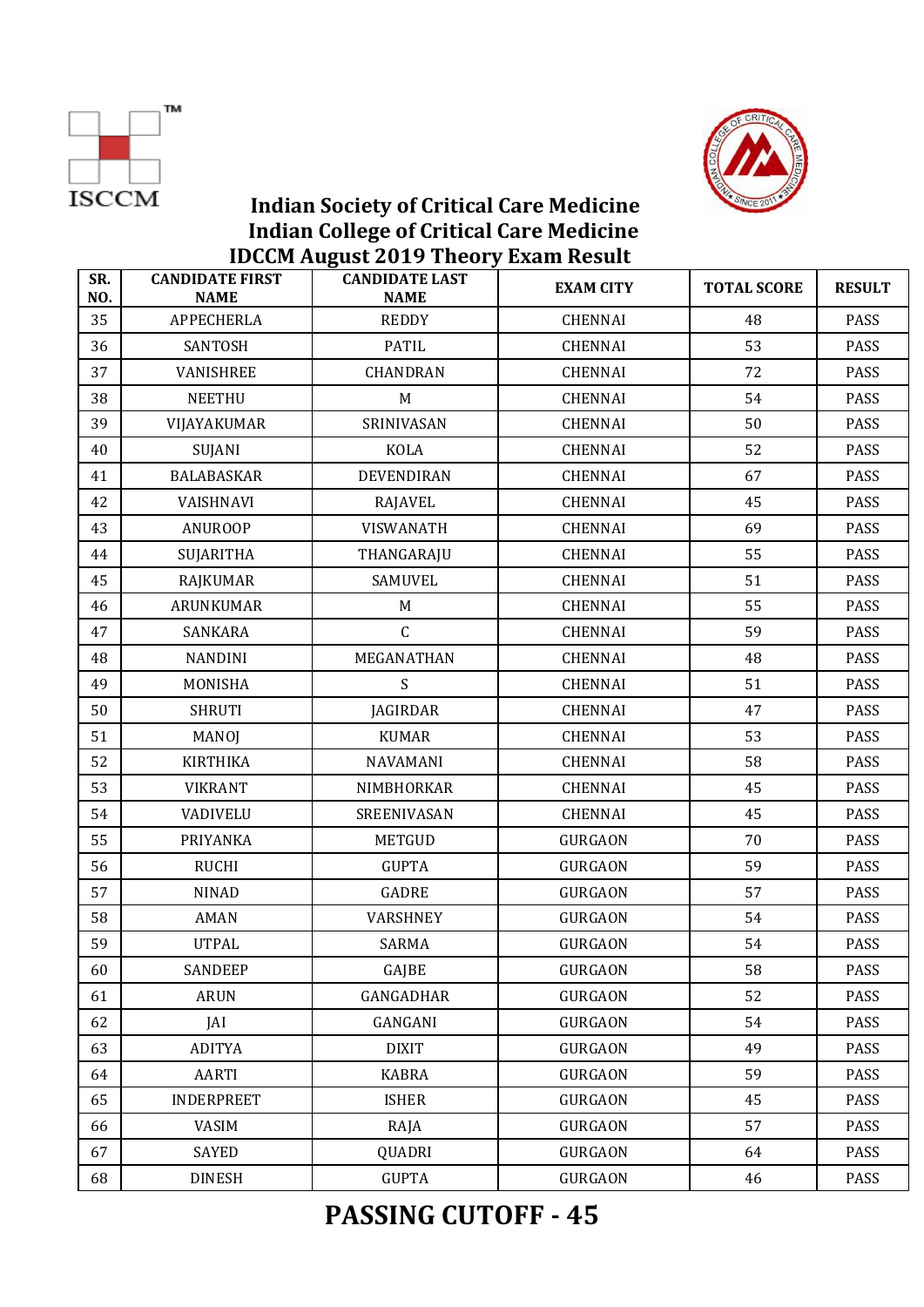



| SR.<br>NO. | <b>CANDIDATE FIRST</b><br><b>NAME</b> | <b>CANDIDATE LAST</b><br><b>NAME</b> | <b>EXAM CITY</b> | <b>TOTAL SCORE</b> | <b>RESULT</b> |
|------------|---------------------------------------|--------------------------------------|------------------|--------------------|---------------|
| 35         | <b>APPECHERLA</b>                     | <b>REDDY</b>                         | <b>CHENNAI</b>   | 48                 | <b>PASS</b>   |
| 36         | SANTOSH                               | <b>PATIL</b>                         | <b>CHENNAI</b>   | 53                 | PASS          |
| 37         | VANISHREE                             | CHANDRAN                             | <b>CHENNAI</b>   | 72                 | <b>PASS</b>   |
| 38         | <b>NEETHU</b>                         | M                                    | <b>CHENNAI</b>   | 54                 | PASS          |
| 39         | VIJAYAKUMAR                           | SRINIVASAN                           | <b>CHENNAI</b>   | 50                 | <b>PASS</b>   |
| 40         | <b>SUJANI</b>                         | <b>KOLA</b>                          | <b>CHENNAI</b>   | 52                 | PASS          |
| 41         | <b>BALABASKAR</b>                     | DEVENDIRAN                           | <b>CHENNAI</b>   | 67                 | PASS          |
| 42         | VAISHNAVI                             | <b>RAJAVEL</b>                       | <b>CHENNAI</b>   | 45                 | <b>PASS</b>   |
| 43         | <b>ANUROOP</b>                        | VISWANATH                            | <b>CHENNAI</b>   | 69                 | PASS          |
| 44         | <b>SUJARITHA</b>                      | THANGARAJU                           | <b>CHENNAI</b>   | 55                 | <b>PASS</b>   |
| 45         | RAJKUMAR                              | SAMUVEL                              | <b>CHENNAI</b>   | 51                 | <b>PASS</b>   |
| 46         | ARUNKUMAR                             | M                                    | <b>CHENNAI</b>   | 55                 | <b>PASS</b>   |
| 47         | SANKARA                               | $\mathsf C$                          | <b>CHENNAI</b>   | 59                 | <b>PASS</b>   |
| 48         | <b>NANDINI</b>                        | MEGANATHAN                           | <b>CHENNAI</b>   | 48                 | PASS          |
| 49         | MONISHA                               | S                                    | <b>CHENNAI</b>   | 51                 | <b>PASS</b>   |
| 50         | <b>SHRUTI</b>                         | <b>JAGIRDAR</b>                      | <b>CHENNAI</b>   | 47                 | <b>PASS</b>   |
| 51         | MANOJ                                 | <b>KUMAR</b>                         | <b>CHENNAI</b>   | 53                 | <b>PASS</b>   |
| 52         | <b>KIRTHIKA</b>                       | NAVAMANI                             | <b>CHENNAI</b>   | 58                 | <b>PASS</b>   |
| 53         | <b>VIKRANT</b>                        | NIMBHORKAR                           | <b>CHENNAI</b>   | 45                 | PASS          |
| 54         | <b>VADIVELU</b>                       | SREENIVASAN                          | <b>CHENNAI</b>   | 45                 | <b>PASS</b>   |
| 55         | PRIYANKA                              | <b>METGUD</b>                        | <b>GURGAON</b>   | 70                 | <b>PASS</b>   |
| 56         | <b>RUCHI</b>                          | <b>GUPTA</b>                         | <b>GURGAON</b>   | 59                 | PASS          |
| 57         | <b>NINAD</b>                          | <b>GADRE</b>                         | <b>GURGAON</b>   | 57                 | PASS          |
| 58         | AMAN                                  | VARSHNEY                             | <b>GURGAON</b>   | 54                 | PASS          |
| 59         | <b>UTPAL</b>                          | <b>SARMA</b>                         | <b>GURGAON</b>   | 54                 | <b>PASS</b>   |
| 60         | SANDEEP                               | GAJBE                                | <b>GURGAON</b>   | 58                 | <b>PASS</b>   |
| 61         | <b>ARUN</b>                           | GANGADHAR                            | <b>GURGAON</b>   | 52                 | PASS          |
| 62         | JAI                                   | GANGANI                              | <b>GURGAON</b>   | 54                 | PASS          |
| 63         | <b>ADITYA</b>                         | <b>DIXIT</b>                         | <b>GURGAON</b>   | 49                 | PASS          |
| 64         | AARTI                                 | <b>KABRA</b>                         | <b>GURGAON</b>   | 59                 | PASS          |
| 65         | <b>INDERPREET</b>                     | <b>ISHER</b>                         | <b>GURGAON</b>   | 45                 | <b>PASS</b>   |
| 66         | <b>VASIM</b>                          | RAJA                                 | <b>GURGAON</b>   | 57                 | PASS          |
| 67         | <b>SAYED</b>                          | QUADRI                               | <b>GURGAON</b>   | 64                 | PASS          |
| 68         | <b>DINESH</b>                         | <b>GUPTA</b>                         | <b>GURGAON</b>   | 46                 | PASS          |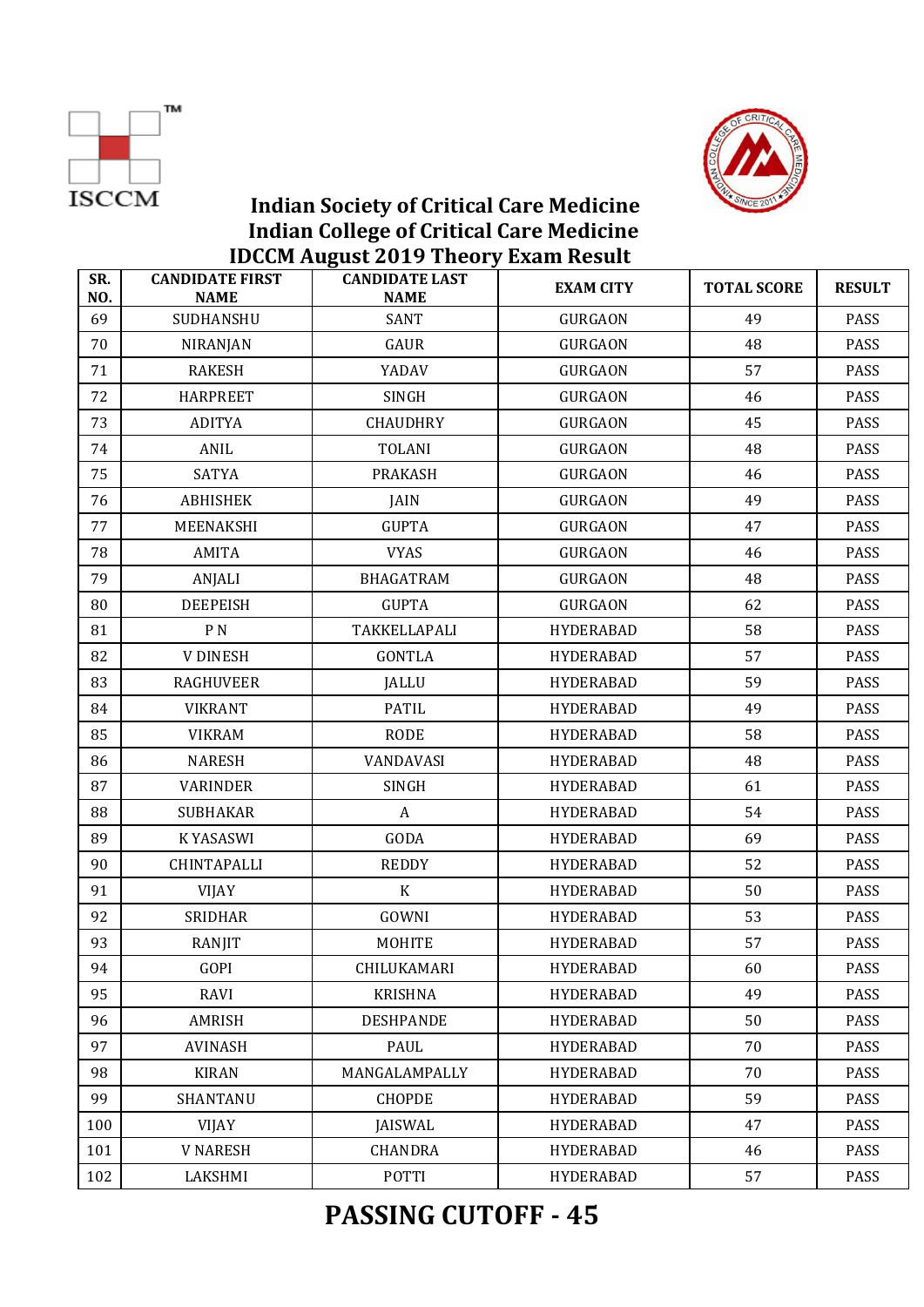



|            |                                       | ID GON TREAD LOTS THEOTY DAMIN RESUR |                  |                    |               |
|------------|---------------------------------------|--------------------------------------|------------------|--------------------|---------------|
| SR.<br>NO. | <b>CANDIDATE FIRST</b><br><b>NAME</b> | <b>CANDIDATE LAST</b><br><b>NAME</b> | <b>EXAM CITY</b> | <b>TOTAL SCORE</b> | <b>RESULT</b> |
| 69         | SUDHANSHU                             | <b>SANT</b>                          | <b>GURGAON</b>   | 49                 | <b>PASS</b>   |
| 70         | <b>NIRANJAN</b>                       | GAUR                                 | <b>GURGAON</b>   | 48                 | PASS          |
| 71         | <b>RAKESH</b>                         | YADAV                                | <b>GURGAON</b>   | 57                 | PASS          |
| 72         | <b>HARPREET</b>                       | <b>SINGH</b>                         | <b>GURGAON</b>   | 46                 | PASS          |
| 73         | <b>ADITYA</b>                         | <b>CHAUDHRY</b>                      | <b>GURGAON</b>   | 45                 | PASS          |
| 74         | ANIL                                  | <b>TOLANI</b>                        | <b>GURGAON</b>   | 48                 | PASS          |
| 75         | <b>SATYA</b>                          | <b>PRAKASH</b>                       | <b>GURGAON</b>   | 46                 | PASS          |
| 76         | <b>ABHISHEK</b>                       | JAIN                                 | <b>GURGAON</b>   | 49                 | PASS          |
| 77         | MEENAKSHI                             | <b>GUPTA</b>                         | <b>GURGAON</b>   | 47                 | <b>PASS</b>   |
| 78         | AMITA                                 | <b>VYAS</b>                          | <b>GURGAON</b>   | 46                 | PASS          |
| 79         | ANJALI                                | <b>BHAGATRAM</b>                     | <b>GURGAON</b>   | 48                 | PASS          |
| 80         | <b>DEEPEISH</b>                       | <b>GUPTA</b>                         | <b>GURGAON</b>   | 62                 | PASS          |
| 81         | P <sub>N</sub>                        | TAKKELLAPALI                         | <b>HYDERABAD</b> | 58                 | PASS          |
| 82         | <b>V DINESH</b>                       | <b>GONTLA</b>                        | <b>HYDERABAD</b> | 57                 | <b>PASS</b>   |
| 83         | <b>RAGHUVEER</b>                      | JALLU                                | <b>HYDERABAD</b> | 59                 | PASS          |
| 84         | <b>VIKRANT</b>                        | <b>PATIL</b>                         | <b>HYDERABAD</b> | 49                 | PASS          |
| 85         | <b>VIKRAM</b>                         | <b>RODE</b>                          | <b>HYDERABAD</b> | 58                 | PASS          |
| 86         | <b>NARESH</b>                         | VANDAVASI                            | <b>HYDERABAD</b> | 48                 | PASS          |
| 87         | <b>VARINDER</b>                       | <b>SINGH</b>                         | <b>HYDERABAD</b> | 61                 | <b>PASS</b>   |
| 88         | <b>SUBHAKAR</b>                       | A                                    | <b>HYDERABAD</b> | 54                 | PASS          |
| 89         | <b>KYASASWI</b>                       | GODA                                 | <b>HYDERABAD</b> | 69                 | PASS          |
| 90         | CHINTAPALLI                           | <b>REDDY</b>                         | <b>HYDERABAD</b> | 52                 | PASS          |
| 91         | <b>VIJAY</b>                          | $\rm K$                              | <b>HYDERABAD</b> | 50                 | PASS          |
| 92         | <b>SRIDHAR</b>                        | GOWNI                                | <b>HYDERABAD</b> | 53                 | PASS          |
| 93         | RANJIT                                | <b>MOHITE</b>                        | <b>HYDERABAD</b> | 57                 | <b>PASS</b>   |
| 94         | GOPI                                  | CHILUKAMARI                          | <b>HYDERABAD</b> | 60                 | PASS          |
| 95         | RAVI                                  | <b>KRISHNA</b>                       | <b>HYDERABAD</b> | 49                 | PASS          |
| 96         | AMRISH                                | <b>DESHPANDE</b>                     | HYDERABAD        | 50                 | PASS          |
| 97         | <b>AVINASH</b>                        | PAUL                                 | <b>HYDERABAD</b> | 70                 | PASS          |
| 98         | <b>KIRAN</b>                          | MANGALAMPALLY                        | <b>HYDERABAD</b> | 70                 | PASS          |
| 99         | SHANTANU                              | <b>CHOPDE</b>                        | <b>HYDERABAD</b> | 59                 | PASS          |
| 100        | <b>VIJAY</b>                          | <b>JAISWAL</b>                       | <b>HYDERABAD</b> | 47                 | PASS          |
| 101        | <b>V NARESH</b>                       | <b>CHANDRA</b>                       | HYDERABAD        | 46                 | PASS          |
| 102        | LAKSHMI                               | POTTI                                | <b>HYDERABAD</b> | 57                 | PASS          |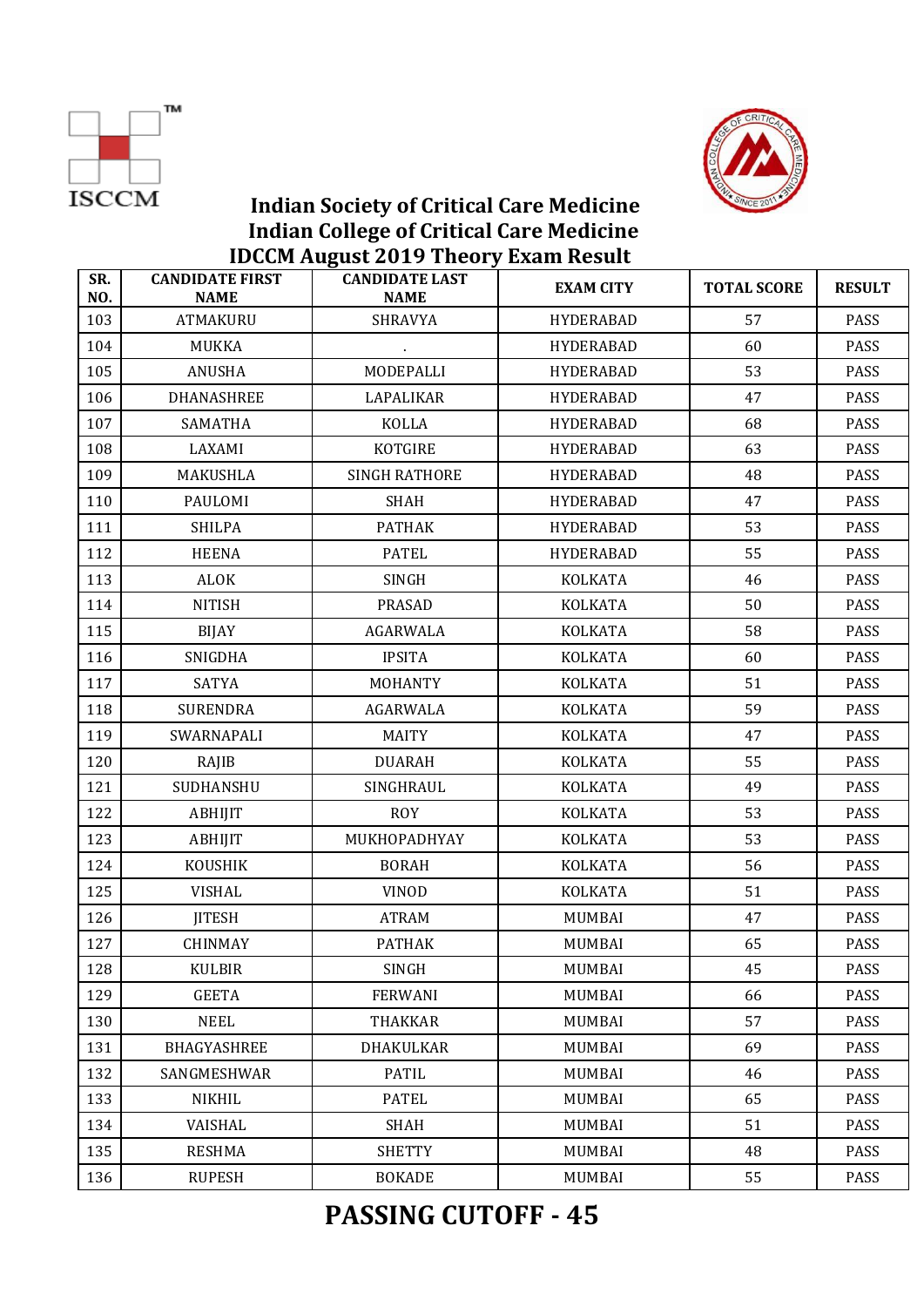



| SR.<br>NO. | <b>CANDIDATE FIRST</b><br><b>NAME</b> | $1200 - 1100 = 0100$<br><b>CANDIDATE LAST</b><br><b>NAME</b> | <b>EXAM CITY</b> | <b>TOTAL SCORE</b> | <b>RESULT</b> |
|------------|---------------------------------------|--------------------------------------------------------------|------------------|--------------------|---------------|
| 103        | <b>ATMAKURU</b>                       | <b>SHRAVYA</b>                                               | <b>HYDERABAD</b> | 57                 | <b>PASS</b>   |
| 104        | MUKKA                                 | $\sim$                                                       | <b>HYDERABAD</b> | 60                 | PASS          |
| 105        | <b>ANUSHA</b>                         | MODEPALLI                                                    | <b>HYDERABAD</b> | 53                 | PASS          |
| 106        | <b>DHANASHREE</b>                     | LAPALIKAR                                                    | <b>HYDERABAD</b> | 47                 | PASS          |
| 107        | <b>SAMATHA</b>                        | KOLLA                                                        | <b>HYDERABAD</b> | 68                 | PASS          |
| 108        | LAXAMI                                | KOTGIRE                                                      | <b>HYDERABAD</b> | 63                 | PASS          |
| 109        | MAKUSHLA                              | <b>SINGH RATHORE</b>                                         | <b>HYDERABAD</b> | 48                 | PASS          |
| 110        | PAULOMI                               | <b>SHAH</b>                                                  | <b>HYDERABAD</b> | 47                 | PASS          |
| 111        | <b>SHILPA</b>                         | <b>PATHAK</b>                                                | <b>HYDERABAD</b> | 53                 | PASS          |
| 112        | <b>HEENA</b>                          | <b>PATEL</b>                                                 | <b>HYDERABAD</b> | 55                 | PASS          |
| 113        | <b>ALOK</b>                           | SINGH                                                        | <b>KOLKATA</b>   | 46                 | PASS          |
| 114        | <b>NITISH</b>                         | <b>PRASAD</b>                                                | <b>KOLKATA</b>   | 50                 | PASS          |
| 115        | <b>BIJAY</b>                          | AGARWALA                                                     | <b>KOLKATA</b>   | 58                 | PASS          |
| 116        | <b>SNIGDHA</b>                        | <b>IPSITA</b>                                                | <b>KOLKATA</b>   | 60                 | PASS          |
| 117        | <b>SATYA</b>                          | <b>MOHANTY</b>                                               | <b>KOLKATA</b>   | 51                 | PASS          |
| 118        | <b>SURENDRA</b>                       | AGARWALA                                                     | <b>KOLKATA</b>   | 59                 | PASS          |
| 119        | SWARNAPALI                            | <b>MAITY</b>                                                 | <b>KOLKATA</b>   | 47                 | PASS          |
| 120        | RAJIB                                 | <b>DUARAH</b>                                                | <b>KOLKATA</b>   | 55                 | PASS          |
| 121        | SUDHANSHU                             | SINGHRAUL                                                    | KOLKATA          | 49                 | PASS          |
| 122        | <b>ABHIJIT</b>                        | <b>ROY</b>                                                   | <b>KOLKATA</b>   | 53                 | PASS          |
| 123        | <b>ABHIJIT</b>                        | MUKHOPADHYAY                                                 | <b>KOLKATA</b>   | 53                 | PASS          |
| 124        | <b>KOUSHIK</b>                        | <b>BORAH</b>                                                 | <b>KOLKATA</b>   | 56                 | PASS          |
| 125        | <b>VISHAL</b>                         | <b>VINOD</b>                                                 | <b>KOLKATA</b>   | 51                 | PASS          |
| 126        | <b>JITESH</b>                         | ATRAM                                                        | MUMBAI           | 47                 | PASS          |
| 127        | <b>CHINMAY</b>                        | <b>PATHAK</b>                                                | <b>MUMBAI</b>    | 65                 | <b>PASS</b>   |
| 128        | <b>KULBIR</b>                         | SINGH                                                        | <b>MUMBAI</b>    | 45                 | <b>PASS</b>   |
| 129        | <b>GEETA</b>                          | <b>FERWANI</b>                                               | <b>MUMBAI</b>    | 66                 | PASS          |
| 130        | <b>NEEL</b>                           | <b>THAKKAR</b>                                               | <b>MUMBAI</b>    | 57                 | PASS          |
| 131        | BHAGYASHREE                           | DHAKULKAR                                                    | <b>MUMBAI</b>    | 69                 | PASS          |
| 132        | SANGMESHWAR                           | <b>PATIL</b>                                                 | <b>MUMBAI</b>    | 46                 | PASS          |
| 133        | NIKHIL                                | <b>PATEL</b>                                                 | <b>MUMBAI</b>    | 65                 | PASS          |
| 134        | VAISHAL                               | <b>SHAH</b>                                                  | <b>MUMBAI</b>    | 51                 | PASS          |
| 135        | <b>RESHMA</b>                         | <b>SHETTY</b>                                                | <b>MUMBAI</b>    | 48                 | PASS          |
| 136        | <b>RUPESH</b>                         | <b>BOKADE</b>                                                | <b>MUMBAI</b>    | 55                 | PASS          |